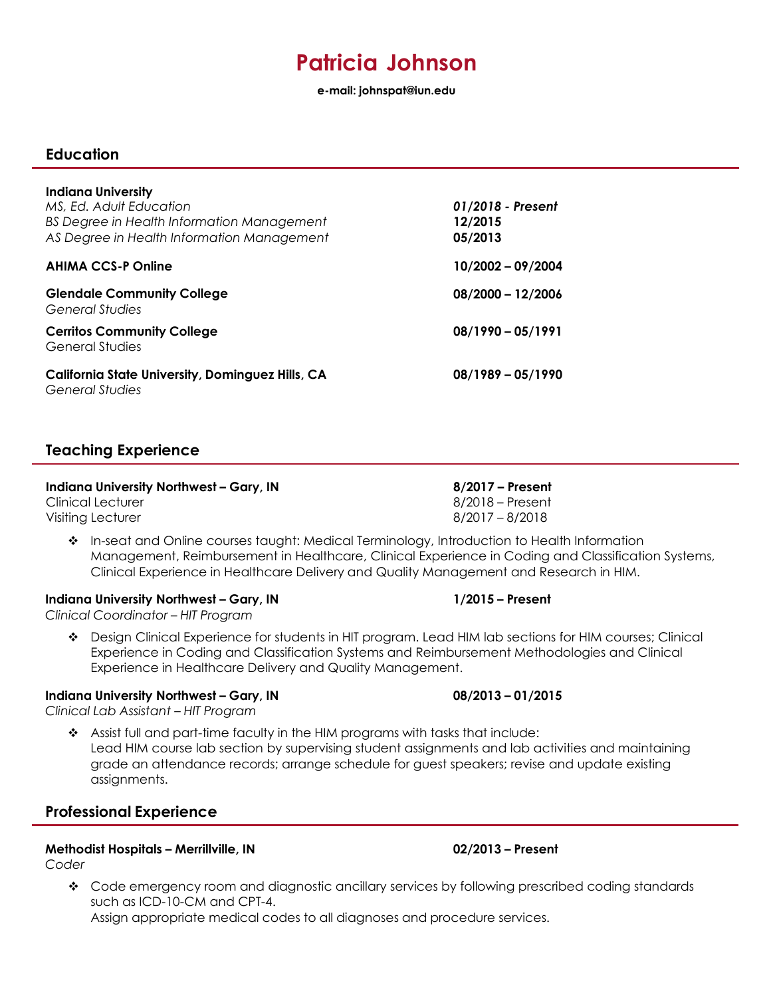# **Patricia Johnson**

**e-mail: [johnspat@iun.edu](mailto:johnspat@iun.edu)**

### **Education**

| <b>Indiana University</b><br>MS, Ed. Adult Education<br>BS Degree in Health Information Management<br>AS Degree in Health Information Management | 01/2018 - Present<br>12/2015<br>05/2013 |
|--------------------------------------------------------------------------------------------------------------------------------------------------|-----------------------------------------|
| <b>AHIMA CCS-P Online</b>                                                                                                                        | $10/2002 - 09/2004$                     |
| <b>Glendale Community College</b><br><b>General Studies</b>                                                                                      | $08/2000 - 12/2006$                     |
| <b>Cerritos Community College</b><br><b>General Studies</b>                                                                                      | $08/1990 - 05/1991$                     |
| <b>California State University, Dominguez Hills, CA</b><br><b>General Studies</b>                                                                | $08/1989 - 05/1990$                     |

### **Teaching Experience**

### **Indiana University Northwest – Gary, IN 8/2017 – Present**

Clinical Lecturer 8/2018 – Present Visiting Lecturer 8/2017 – 8/2018

 In-seat and Online courses taught: Medical Terminology, Introduction to Health Information Management, Reimbursement in Healthcare, Clinical Experience in Coding and Classification Systems, Clinical Experience in Healthcare Delivery and Quality Management and Research in HIM.

### **Indiana University Northwest – Gary, IN 1/2015 – Present**

*Clinical Coordinator – HIT Program*

 Design Clinical Experience for students in HIT program. Lead HIM lab sections for HIM courses; Clinical Experience in Coding and Classification Systems and Reimbursement Methodologies and Clinical Experience in Healthcare Delivery and Quality Management.

### **Indiana University Northwest – Gary, IN 08/2013 – 01/2015**

*Clinical Lab Assistant – HIT Program*

 Assist full and part-time faculty in the HIM programs with tasks that include: Lead HIM course lab section by supervising student assignments and lab activities and maintaining grade an attendance records; arrange schedule for guest speakers; revise and update existing assignments.

### **Professional Experience**

### **Methodist Hospitals – Merrillville, IN 02/2013 – Present**

*Coder*

\* Code emergency room and diagnostic ancillary services by following prescribed coding standards such as ICD-10-CM and CPT-4.

Assign appropriate medical codes to all diagnoses and procedure services.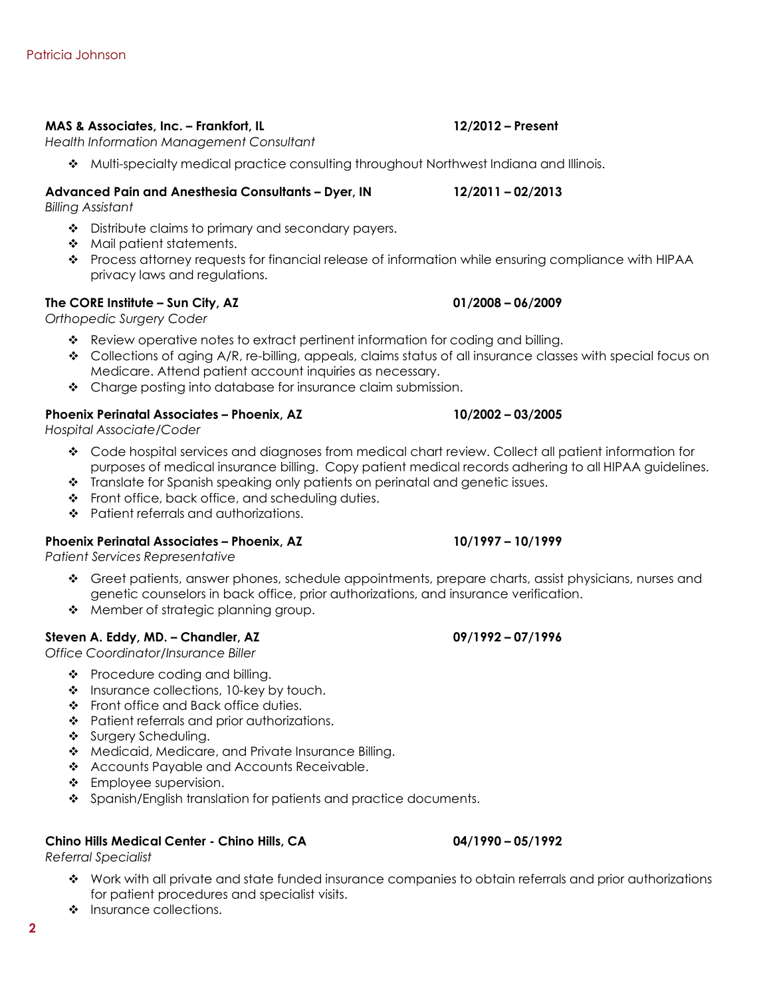### **MAS & Associates, Inc. – Frankfort, IL 12/2012 – Present**

*Health Information Management Consultant*

Multi-specialty medical practice consulting throughout Northwest Indiana and Illinois.

### **Advanced Pain and Anesthesia Consultants – Dyer, IN 12/2011 – 02/2013**

*Billing Assistant*

- Distribute claims to primary and secondary payers.
- Mail patient statements.
- ◆ Process attorney requests for financial release of information while ensuring compliance with HIPAA privacy laws and regulations.

### **The CORE Institute – Sun City, AZ 01/2008 – 06/2009**

*Orthopedic Surgery Coder*

- Review operative notes to extract pertinent information for coding and billing.
- $\bullet$  Collections of aging A/R, re-billing, appeals, claims status of all insurance classes with special focus on Medicare. Attend patient account inquiries as necessary.
- \* Charge posting into database for insurance claim submission.

### **Phoenix Perinatal Associates – Phoenix, AZ 10/2002 – 03/2005**

*Hospital Associate/Coder*

- Code hospital services and diagnoses from medical chart review. Collect all patient information for purposes of medical insurance billing. Copy patient medical records adhering to all HIPAA guidelines.
- \* Translate for Spanish speaking only patients on perinatal and genetic issues.
- $\div$  Front office, back office, and scheduling duties.
- \* Patient referrals and authorizations.

### **Phoenix Perinatal Associates – Phoenix, AZ 10/1997 – 10/1999**

*Patient Services Representative*

- Greet patients, answer phones, schedule appointments, prepare charts, assist physicians, nurses and genetic counselors in back office, prior authorizations, and insurance verification.
- Member of strategic planning group.

### **Steven A. Eddy, MD. – Chandler, AZ 09/1992 – 07/1996**

*Office Coordinator/Insurance Biller*

- $\bullet$  Procedure coding and billing.
- $\cdot \cdot$  Insurance collections, 10-key by touch.
- ❖ Front office and Back office duties.
- $\cdot \cdot$  Patient referrals and prior authorizations.
- Surgery Scheduling.
- \* Medicaid, Medicare, and Private Insurance Billing.
- \* Accounts Payable and Accounts Receivable.
- ❖ Employee supervision.
- ❖ Spanish/English translation for patients and practice documents.

### **Chino Hills Medical Center - Chino Hills, CA 04/1990 – 05/1992**

*Referral Specialist*

- Work with all private and state funded insurance companies to obtain referrals and prior authorizations for patient procedures and specialist visits.
- Insurance collections.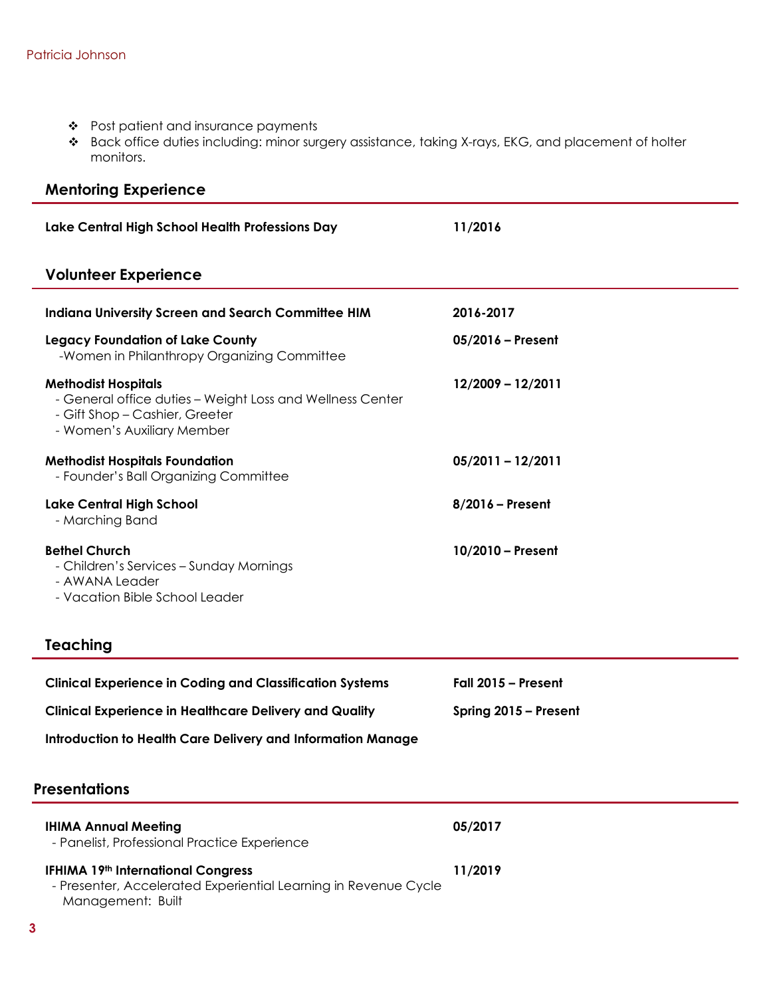- Post patient and insurance payments
- Back office duties including: minor surgery assistance, taking X-rays, EKG, and placement of holter monitors.

# **Mentoring Experience**

| Lake Central High School Health Professions Day                                                                                                         | 11/2016             |  |
|---------------------------------------------------------------------------------------------------------------------------------------------------------|---------------------|--|
| <b>Volunteer Experience</b>                                                                                                                             |                     |  |
| <b>Indiana University Screen and Search Committee HIM</b>                                                                                               | 2016-2017           |  |
| <b>Legacy Foundation of Lake County</b><br>-Women in Philanthropy Organizing Committee                                                                  | $05/2016$ – Present |  |
| <b>Methodist Hospitals</b><br>- General office duties - Weight Loss and Wellness Center<br>- Gift Shop - Cashier, Greeter<br>- Women's Auxiliary Member | 12/2009 - 12/2011   |  |
| <b>Methodist Hospitals Foundation</b><br>- Founder's Ball Organizing Committee                                                                          | $05/2011 - 12/2011$ |  |
| <b>Lake Central High School</b><br>- Marching Band                                                                                                      | $8/2016$ – Present  |  |
| <b>Bethel Church</b><br>- Children's Services – Sunday Mornings<br>- AWANA Leader<br>- Vacation Bible School Leader                                     | $10/2010$ – Present |  |

# **Teaching**

| <b>Clinical Experience in Coding and Classification Systems</b> | Fall 2015 – Present   |
|-----------------------------------------------------------------|-----------------------|
| <b>Clinical Experience in Healthcare Delivery and Quality</b>   | Spring 2015 – Present |
| Introduction to Health Care Delivery and Information Manage     |                       |

## **Presentations**

| <b>IHIMA Annual Meeting</b><br>- Panelist, Professional Practice Experience                                                | 05/2017 |
|----------------------------------------------------------------------------------------------------------------------------|---------|
| IFHIMA 19th International Congress<br>- Presenter, Accelerated Experiential Learning in Revenue Cycle<br>Management: Built | 11/2019 |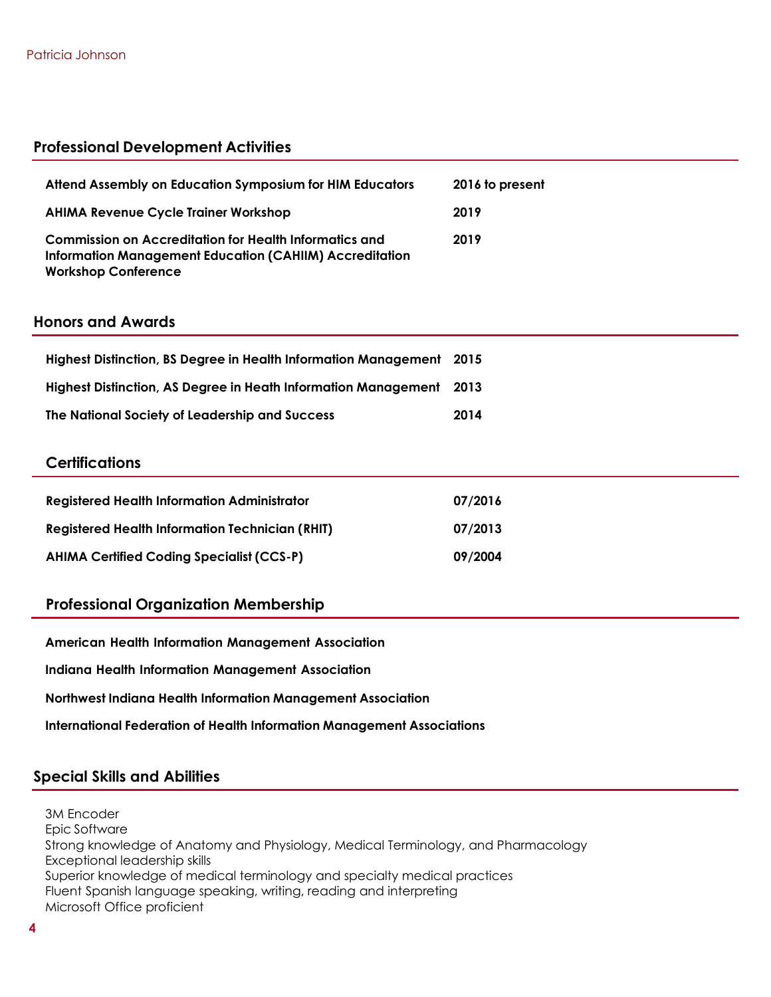### **Professional Development Activities**

| Attend Assembly on Education Symposium for HIM Educators                                                                                               | 2016 to present |
|--------------------------------------------------------------------------------------------------------------------------------------------------------|-----------------|
| <b>AHIMA Revenue Cycle Trainer Workshop</b>                                                                                                            | 2019            |
| Commission on Accreditation for Health Informatics and<br><b>Information Management Education (CAHIIM) Accreditation</b><br><b>Workshop Conference</b> | 2019            |

### **Honors and Awards**

| Highest Distinction, BS Degree in Health Information Management 2015 |      |
|----------------------------------------------------------------------|------|
| Highest Distinction, AS Degree in Heath Information Management 2013  |      |
| The National Society of Leadership and Success                       | 2014 |

### **Certifications**

| <b>Registered Health Information Administrator</b>     | 07/2016 |
|--------------------------------------------------------|---------|
| <b>Registered Health Information Technician (RHIT)</b> | 07/2013 |
| <b>AHIMA Certified Coding Specialist (CCS-P)</b>       | 09/2004 |

### **Professional Organization Membership**

**American Health Information Management Association**

**Indiana Health Information Management Association**

**Northwest Indiana Health Information Management Association**

**International Federation of Health Information Management Associations**

### **Special Skills and Abilities**

3M Encoder Epic Software Strong knowledge of Anatomy and Physiology, Medical Terminology, and Pharmacology Exceptional leadership skills Superior knowledge of medical terminology and specialty medical practices Fluent Spanish language speaking, writing, reading and interpreting Microsoft Office proficient